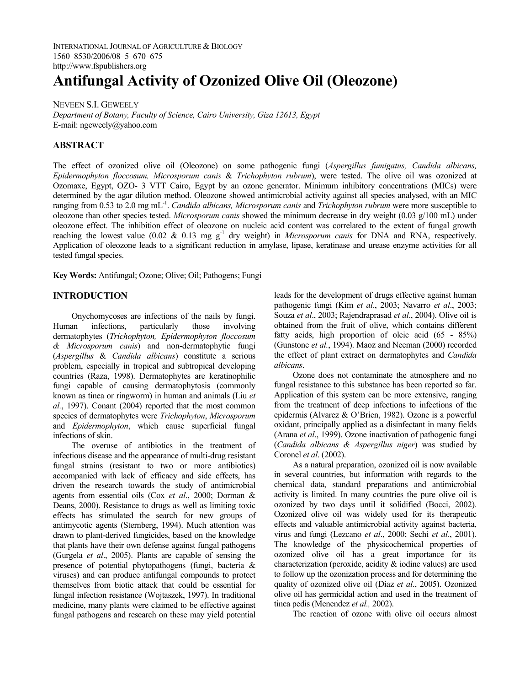INTERNATIONAL JOURNAL OF AGRICULTURE & BIOLOGY 1560–8530/2006/08–5–670–675 http://www.fspublishers.org

# **Antifungal Activity of Ozonized Olive Oil (Oleozone)**

NEVEEN S.I. GEWEELY *Department of Botany, Faculty of Science, Cairo University, Giza 12613, Egypt*  E-mail: ngeweely@yahoo.com

### **ABSTRACT**

The effect of ozonized olive oil (Oleozone) on some pathogenic fungi (*Aspergillus fumigatus, Candida albicans, Epidermophyton floccosum, Microsporum canis* & *Trichophyton rubrum*), were tested. The olive oil was ozonized at Ozomaxe, Egypt, OZO- 3 VTT Cairo, Egypt by an ozone generator. Minimum inhibitory concentrations (MICs) were determined by the agar dilution method. Oleozone showed antimicrobial activity against all species analysed, with an MIC ranging from 0.53 to 2.0 mg mL-1. *Candida albicans, Microsporum canis* and *Trichophyton rubrum* were more susceptible to oleozone than other species tested. *Microsporum canis* showed the minimum decrease in dry weight (0.03 g/100 mL) under oleozone effect. The inhibition effect of oleozone on nucleic acid content was correlated to the extent of fungal growth reaching the lowest value (0.02  $\&$  0.13 mg g<sup>-1</sup> dry weight) in *Microsporum canis* for DNA and RNA, respectively. Application of oleozone leads to a significant reduction in amylase, lipase, keratinase and urease enzyme activities for all tested fungal species.

**Key Words:** Antifungal; Ozone; Olive; Oil; Pathogens; Fungi

## **INTRODUCTION**

Onychomycoses are infections of the nails by fungi. Human infections, particularly those involving dermatophytes (*Trichophyton, Epidermophyton floccosum & Microsporum canis*) and non-dermatophytic fungi (*Aspergillus* & *Candida albicans*) constitute a serious problem, especially in tropical and subtropical developing countries (Raza, 1998). Dermatophytes are keratinophilic fungi capable of causing dermatophytosis (commonly known as tinea or ringworm) in human and animals (Liu *et al.*, 1997). Conant (2004) reported that the most common species of dermatophytes were *Trichophyton*, *Microsporum* and *Epidermophyton*, which cause superficial fungal infections of skin.

The overuse of antibiotics in the treatment of infectious disease and the appearance of multi-drug resistant fungal strains (resistant to two or more antibiotics) accompanied with lack of efficacy and side effects, has driven the research towards the study of antimicrobial agents from essential oils (Cox *et al*., 2000; Dorman & Deans, 2000). Resistance to drugs as well as limiting toxic effects has stimulated the search for new groups of antimycotic agents (Sternberg, 1994). Much attention was drawn to plant-derived fungicides, based on the knowledge that plants have their own defense against fungal pathogens (Gurgela *et al*., 2005). Plants are capable of sensing the presence of potential phytopathogens (fungi, bacteria & viruses) and can produce antifungal compounds to protect themselves from biotic attack that could be essential for fungal infection resistance (Wojtaszek, 1997). In traditional medicine, many plants were claimed to be effective against fungal pathogens and research on these may yield potential

leads for the development of drugs effective against human pathogenic fungi (Kim *et al*., 2003; Navarro *et al*., 2003; Souza *et al*., 2003; Rajendraprasad *et al*., 2004). Olive oil is obtained from the fruit of olive, which contains different fatty acids, high proportion of oleic acid (65 - 85%) (Gunstone *et al.*, 1994). Maoz and Neeman (2000) recorded the effect of plant extract on dermatophytes and *Candida albicans*.

Ozone does not contaminate the atmosphere and no fungal resistance to this substance has been reported so far. Application of this system can be more extensive, ranging from the treatment of deep infections to infections of the epidermis (Alvarez & O'Brien, 1982). Ozone is a powerful oxidant, principally applied as a disinfectant in many fields (Arana *et al*., 1999). Ozone inactivation of pathogenic fungi (*Candida albicans & Aspergillus niger*) was studied by Coronel *et al*. (2002).

As a natural preparation, ozonized oil is now available in several countries, but information with regards to the chemical data, standard preparations and antimicrobial activity is limited. In many countries the pure olive oil is ozonized by two days until it solidified (Bocci, 2002). Ozonized olive oil was widely used for its therapeutic effects and valuable antimicrobial activity against bacteria, virus and fungi (Lezcano *et al*., 2000; Sechi *et al*., 2001). The knowledge of the physicochemical properties of ozonized olive oil has a great importance for its characterization (peroxide, acidity & iodine values) are used to follow up the ozonization process and for determining the quality of ozonized olive oil (Díaz *et al*., 2005). Ozonized olive oil has germicidal action and used in the treatment of tinea pedis (Menendez *et al.,* 2002).

The reaction of ozone with olive oil occurs almost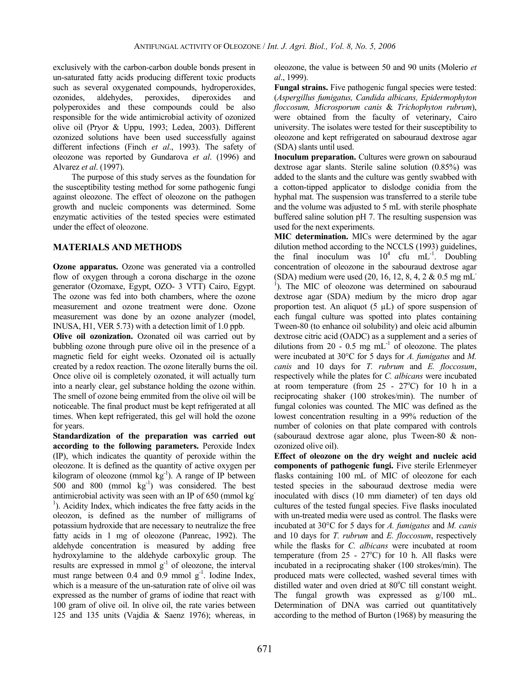exclusively with the carbon-carbon double bonds present in un-saturated fatty acids producing different toxic products such as several oxygenated compounds, hydroperoxides, ozonides, aldehydes, peroxides, diperoxides and polyperoxides and these compounds could be also responsible for the wide antimicrobial activity of ozonized olive oil (Pryor & Uppu, 1993; Ledea, 2003). Different ozonized solutions have been used successfully against different infections (Finch *et al*., 1993). The safety of oleozone was reported by Gundarova *et al*. (1996) and Alvarez *et al*. (1997).

The purpose of this study serves as the foundation for the susceptibility testing method for some pathogenic fungi against oleozone. The effect of oleozone on the pathogen growth and nucleic components was determined. Some enzymatic activities of the tested species were estimated under the effect of oleozone.

## **MATERIALS AND METHODS**

**Ozone apparatus.** Ozone was generated via a controlled flow of oxygen through a corona discharge in the ozone generator (Ozomaxe, Egypt, OZO- 3 VTT) Cairo, Egypt. The ozone was fed into both chambers, where the ozone measurement and ozone treatment were done. Ozone measurement was done by an ozone analyzer (model, INUSA, H1, VER 5.73) with a detection limit of 1.0 ppb.

**Olive oil ozonization.** Ozonated oil was carried out by bubbling ozone through pure olive oil in the presence of a magnetic field for eight weeks. Ozonated oil is actually created by a redox reaction. The ozone literally burns the oil. Once olive oil is completely ozonated, it will actually turn into a nearly clear, gel substance holding the ozone within. The smell of ozone being emmited from the olive oil will be noticeable. The final product must be kept refrigerated at all times. When kept refrigerated, this gel will hold the ozone for years.

**Standardization of the preparation was carried out according to the following parameters.** Peroxide Index (IP), which indicates the quantity of peroxide within the oleozone. It is defined as the quantity of active oxygen per kilogram of oleozone (mmol  $kg^{-1}$ ). A range of IP between 500 and 800 (mmol  $kg^{-1}$ ) was considered. The best antimicrobial activity was seen with an IP of 650 (mmol kg-<sup>1</sup>). Acidity Index, which indicates the free fatty acids in the oleozon, is defined as the number of milligrams of potassium hydroxide that are necessary to neutralize the free fatty acids in 1 mg of oleozone (Panreac, 1992). The aldehyde concentration is measured by adding free hydroxylamine to the aldehyde carboxylic group. The results are expressed in mmol  $g^{-1}$  of oleozone, the interval must range between  $0.4$  and  $0.9$  mmol  $g^{-1}$ . Iodine Index, which is a measure of the un-saturation rate of olive oil was expressed as the number of grams of iodine that react with 100 gram of olive oil. In olive oil, the rate varies between 125 and 135 units (Vajdia & Saenz 1976); whereas, in

oleozone, the value is between 50 and 90 units (Molerio *et al*., 1999).

**Fungal strains.** Five pathogenic fungal species were tested: (*Aspergillus fumigatus, Candida albicans, Epidermophyton floccosum, Microsporum canis* & *Trichophyton rubrum*), were obtained from the faculty of veterinary, Cairo university. The isolates were tested for their susceptibility to oleozone and kept refrigerated on sabouraud dextrose agar (SDA) slants until used.

**Inoculum preparation.** Cultures were grown on sabouraud dextrose agar slants. Sterile saline solution (0.85%) was added to the slants and the culture was gently swabbed with a cotton-tipped applicator to dislodge conidia from the hyphal mat. The suspension was transferred to a sterile tube and the volume was adjusted to 5 mL with sterile phosphate buffered saline solution pH 7. The resulting suspension was used for the next experiments.

**MIC determination.** MICs were determined by the agar dilution method according to the NCCLS (1993) guidelines, the final inoculum was  $10^4$  cfu mL<sup>-1</sup>. Doubling concentration of oleozone in the sabouraud dextrose agar (SDA) medium were used (20, 16, 12, 8, 4, 2 & 0.5 mg mL-<sup>1</sup>). The MIC of oleozone was determined on sabouraud dextrose agar (SDA) medium by the micro drop agar proportion test. An aliquot  $(5 \mu L)$  of spore suspension of each fungal culture was spotted into plates containing Tween-80 (to enhance oil solubility) and oleic acid albumin dextrose citric acid (OADC) as a supplement and a series of dilutions from 20 - 0.5 mg  $mL^{-1}$  of oleozone. The plates were incubated at 30°C for 5 days for *A. fumigatus* and *M. canis* and 10 days for *T. rubrum* and *E. floccosum*, respectively while the plates for *C. albicans* were incubated at room temperature (from  $25 - 27^{\circ}$ C) for 10 h in a reciprocating shaker (100 strokes/min). The number of fungal colonies was counted. The MIC was defined as the lowest concentration resulting in a 99% reduction of the number of colonies on that plate compared with controls (sabouraud dextrose agar alone, plus Tween-80 & nonozonized olive oil).

**Effect of oleozone on the dry weight and nucleic acid components of pathogenic fungi.** Five sterile Erlenmeyer flasks containing 100 mL of MIC of oleozone for each tested species in the sabouraud dextrose media were inoculated with discs (10 mm diameter) of ten days old cultures of the tested fungal species. Five flasks inoculated with un-treated media were used as control. The flasks were incubated at 30°C for 5 days for *A. fumigatus* and *M. canis* and 10 days for *T. rubrum* and *E. floccosum*, respectively while the flasks for *C. albicans* were incubated at room temperature (from  $25 - 27^{\circ}$ C) for 10 h. All flasks were incubated in a reciprocating shaker (100 strokes/min). The produced mats were collected, washed several times with distilled water and oven dried at 80°C till constant weight. The fungal growth was expressed as g/100 mL. Determination of DNA was carried out quantitatively according to the method of Burton (1968) by measuring the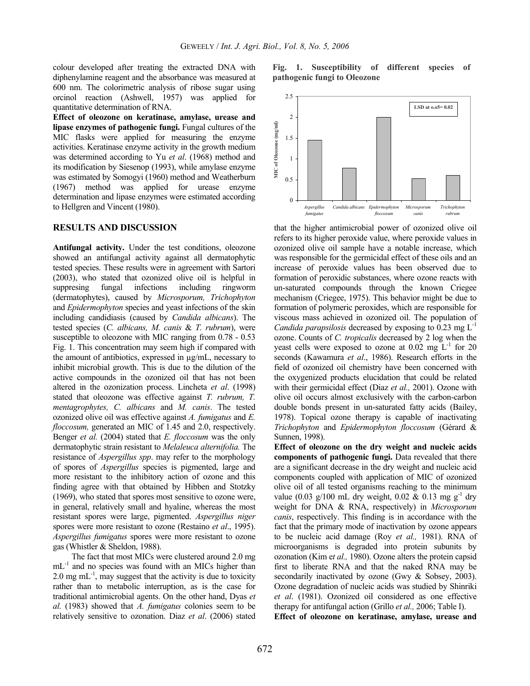colour developed after treating the extracted DNA with diphenylamine reagent and the absorbance was measured at 600 nm. The colorimetric analysis of ribose sugar using orcinol reaction (Ashwell, 1957) was applied for quantitative determination of RNA.

**Effect of oleozone on keratinase, amylase, urease and lipase enzymes of pathogenic fungi.** Fungal cultures of the MIC flasks were applied for measuring the enzyme activities. Keratinase enzyme activity in the growth medium was determined according to Yu *et al*. (1968) method and its modification by Siesenop (1993), while amylase enzyme was estimated by Somogyi (1960) method and Weatherburn (1967) method was applied for urease enzyme determination and lipase enzymes were estimated according to Hellgren and Vincent (1980).

#### **RESULTS AND DISCUSSION**

**Antifungal activity.** Under the test conditions, oleozone showed an antifungal activity against all dermatophytic tested species. These results were in agreement with Sartori (2003), who stated that ozonized olive oil is helpful in suppresing fungal infections including ringworm (dermatophytes), caused by *Microsporum, Trichophyton* and *Epidermophyton* species and yeast infections of the skin including candidiasis (caused by *Candida albicans*). The tested species (*C. albicans, M. canis* & *T. rubrum*), were susceptible to oleozone with MIC ranging from 0.78 - 0.53 Fig. 1. This concentration may seem high if compared with the amount of antibiotics, expressed in µg/mL, necessary to inhibit microbial growth. This is due to the dilution of the active compounds in the ozonized oil that has not been altered in the ozonization process. Lincheta *et al*. (1998) stated that oleozone was effective against *T. rubrum, T. mentagrophytes, C. albicans* and *M. canis*. The tested ozonized olive oil was effective against *A. fumigatus* and *E. floccosum,* generated an MIC of 1.45 and 2.0, respectively. Benger *et al.* (2004) stated that *E. floccosum* was the only dermatophytic strain resistant to *Melaleuca alternifolia.* The resistance of *Aspergillus spp*. may refer to the morphology of spores of *Aspergillus* species is pigmented, large and more resistant to the inhibitory action of ozone and this finding agree with that obtained by Hibben and Stotzky (1969), who stated that spores most sensitive to ozone were, in general, relatively small and hyaline, whereas the most resistant spores were large, pigmented. *Aspergillus niger* spores were more resistant to ozone (Restaino *et al*., 1995). *Aspergillus fumigatus* spores were more resistant to ozone gas (Whistler & Sheldon, 1988).

The fact that most MICs were clustered around 2.0 mg mL<sup>-1</sup> and no species was found with an MICs higher than 2.0 mg  $mL^{-1}$ , may suggest that the activity is due to toxicity rather than to metabolic interruption, as is the case for traditional antimicrobial agents. On the other hand, Dyas *et al.* (1983) showed that *A. fumigatus* colonies seem to be relatively sensitive to ozonation. Diaz *et al*. (2006) stated **Fig. 1. Susceptibility of different species of pathogenic fungi to Oleozone** 



that the higher antimicrobial power of ozonized olive oil refers to its higher peroxide value, where peroxide values in ozonized olive oil sample have a notable increase, which was responsible for the germicidal effect of these oils and an increase of peroxide values has been observed due to formation of peroxidic substances, where ozone reacts with un-saturated compounds through the known Criegee mechanism (Criegee, 1975). This behavior might be due to formation of polymeric peroxides, which are responsible for viscous mass achieved in ozonized oil. The population of *Candida parapsilosis* decreased by exposing to  $0.23 \text{ mg } L^{-1}$ ozone. Counts of *C. tropicalis* decreased by 2 log when the yeast cells were exposed to ozone at  $0.02 \text{ mg } L^{-1}$  for 20 seconds (Kawamura *et al*., 1986). Research efforts in the field of ozonized oil chemistry have been concerned with the oxygenized products elucidation that could be related with their germicidal effect (Diaz *et al.,* 2001). Ozone with olive oil occurs almost exclusively with the carbon-carbon double bonds present in un-saturated fatty acids (Bailey, 1978). Topical ozone therapy is capable of inactivating *Trichophyton* and *Epidermophyton floccosum* (Gérard & Sunnen, 1998).

**Effect of oleozone on the dry weight and nucleic acids components of pathogenic fungi.** Data revealed that there are a significant decrease in the dry weight and nucleic acid components coupled with application of MIC of ozonized olive oil of all tested organisms reaching to the minimum value (0.03 g/100 mL dry weight, 0.02 & 0.13 mg g<sup>-1</sup> dry weight for DNA & RNA, respectively) in *Microsporum canis*, respectively. This finding is in accordance with the fact that the primary mode of inactivation by ozone appears to be nucleic acid damage (Roy *et al.,* 1981). RNA of microorganisms is degraded into protein subunits by ozonation (Kim e*t al.,* 1980). Ozone alters the protein capsid first to liberate RNA and that the naked RNA may be secondarily inactivated by ozone (Gwy & Sobsey, 2003). Ozone degradation of nucleic acids was studied by Shinriki *et al*. (1981). Ozonized oil considered as one effective therapy for antifungal action (Grillo *et al.,* 2006; Table I).

**Effect of oleozone on keratinase, amylase, urease and**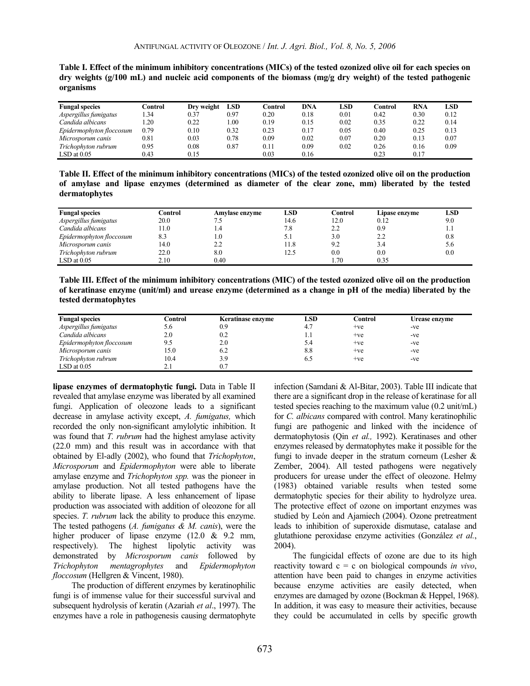| <b>Fungal species</b>    | Control | Dry weight | <b>LSD</b> | Control | DNA  | LSD  | Control | <b>RNA</b> | <b>LSD</b> |
|--------------------------|---------|------------|------------|---------|------|------|---------|------------|------------|
| Aspergillus fumigatus    | .34     | 0.37       | 0.97       | 0.20    | 0.18 | 0.01 | 0.42    | 0.30       | 0.12       |
| Candida albicans         | .20     | 0.22       | 00.1       | 0.19    | 0.15 | 0.02 | 0.35    | 0.22       | 0.14       |
| Epidermophyton floccosum | 0.79    | 0.10       | 0.32       | 0.23    | 0.17 | 0.05 | 0.40    | 0.25       | 0.13       |
| Microsporum canis        | 0.81    | 0.03       | 0.78       | 0.09    | 0.02 | 0.07 | 0.20    | 0.13       | 0.07       |
| Trichophyton rubrum      | 0.95    | 0.08       | $_{0.87}$  | 0.11    | 0.09 | 0.02 | 0.26    | 0.16       | 0.09       |
| $LSD$ at $0.05$          | 0.43    | 0.15       |            | 0.03    | 0.16 |      | 0.23    | 0.17       |            |

**Table I. Effect of the minimum inhibitory concentrations (MICs) of the tested ozonized olive oil for each species on dry weights (g/100 mL) and nucleic acid components of the biomass (mg/g dry weight) of the tested pathogenic organisms** 

**Table II. Effect of the minimum inhibitory concentrations (MICs) of the tested ozonized olive oil on the production of amylase and lipase enzymes (determined as diameter of the clear zone, mm) liberated by the tested dermatophytes** 

| <b>Fungal species</b>    | Control | Amylase enzyme | LSD  | Control | Lipase enzyme | LSD |
|--------------------------|---------|----------------|------|---------|---------------|-----|
| Aspergillus fumigatus    | 20.0    | נ.י            | 14.6 | 12.0    | 0.12          | 9.0 |
| Candida albicans         | 1.0     | 4.،            | 7.8  | 2.2     | 0.9           |     |
| Epidermophyton floccosum | 8.3     | 1.0            |      | 3.0     | 2.2           | 0.8 |
| Microsporum canis        | 14.0    | 2.2            | 11.8 | 9.2     | 3.4           | 5.6 |
| Trichophyton rubrum      | 22.0    | 8.0            | 12.5 | 0.0     | 0.0           | 0.0 |
| $LSD$ at $0.05$          | 2.10    | 0.40           |      | 1.70    | 0.35          |     |

**Table III. Effect of the minimum inhibitory concentrations (MIC) of the tested ozonized olive oil on the production of keratinase enzyme (unit/ml) and urease enzyme (determined as a change in pH of the media) liberated by the tested dermatophytes** 

| <b>Fungal species</b>    | Control | Keratinase enzyme | LSD | Control | Urease enzyme |
|--------------------------|---------|-------------------|-----|---------|---------------|
| Aspergillus fumigatus    | 5.6     | 0.9               | 4.7 | $+ve$   | -ve           |
| Candida albicans         | 2.0     | 0.2               |     | $+ve$   | -ve           |
| Epidermophyton floccosum | 9.5     | 2.0               | 5.4 | $+ve$   | -ve           |
| Microsporum canis        | 15.0    | 6.2               | 8.8 | $+ve$   | -ve           |
| Trichophyton rubrum      | 10.4    | 3.9               | 6.5 | $+ve$   | -ve           |
| $LSD$ at $0.05$          |         | 0.7               |     |         |               |

**lipase enzymes of dermatophytic fungi.** Data in Table II revealed that amylase enzyme was liberated by all examined fungi. Application of oleozone leads to a significant decrease in amylase activity except, *A. fumigatus,* which recorded the only non-significant amylolytic inhibition. It was found that *T. rubrum* had the highest amylase activity (22.0 mm) and this result was in accordance with that obtained by El-adly (2002), who found that *Trichophyton*, *Microsporum* and *Epidermophyton* were able to liberate amylase enzyme and *Trichophyton spp.* was the pioneer in amylase production. Not all tested pathogens have the ability to liberate lipase. A less enhancement of lipase production was associated with addition of oleozone for all species. *T. rubrum* lack the ability to produce this enzyme. The tested pathogens (*A. fumigatus & M. canis*), were the higher producer of lipase enzyme (12.0 & 9.2 mm, respectively). The highest lipolytic activity was demonstrated by *Microsporum canis* followed by *Trichophyton mentagrophytes* and *Epidermophyton floccosum* (Hellgren & Vincent, 1980).

The production of different enzymes by keratinophilic fungi is of immense value for their successful survival and subsequent hydrolysis of keratin (Azariah *et al*., 1997). The enzymes have a role in pathogenesis causing dermatophyte

infection (Samdani & Al-Bitar, 2003). Table III indicate that there are a significant drop in the release of keratinase for all tested species reaching to the maximum value (0.2 unit/mL) for *C. albicans* compared with control. Many keratinophilic fungi are pathogenic and linked with the incidence of dermatophytosis (Qin *et al.,* 1992). Keratinases and other enzymes released by dermatophytes make it possible for the fungi to invade deeper in the stratum corneum (Lesher  $\&$ Zember, 2004). All tested pathogens were negatively producers for urease under the effect of oleozone. Helmy (1983) obtained variable results when tested some dermatophytic species for their ability to hydrolyze urea. The protective effect of ozone on important enzymes was studied by León and Ajamiech (2004). Ozone pretreatment leads to inhibition of superoxide dismutase, catalase and glutathione peroxidase enzyme activities (González *et al.*, 2004).

The fungicidal effects of ozone are due to its high reactivity toward c = c on biological compounds *in vivo*, attention have been paid to changes in enzyme activities because enzyme activities are easily detected, when enzymes are damaged by ozone (Bockman & Heppel, 1968). In addition, it was easy to measure their activities, because they could be accumulated in cells by specific growth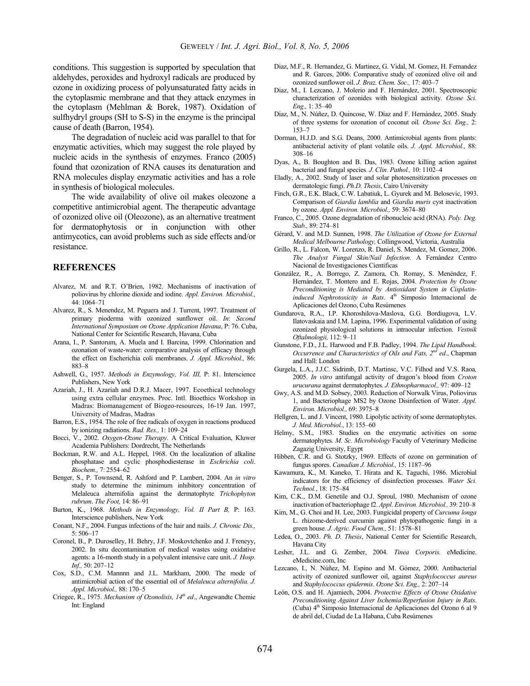conditions. This suggestion is supported by speculation that aldehydes, peroxides and hydroxyl radicals are produced by ozone in oxidizing process of polyunsaturated fatty acids in the cytoplasmic membrane and that they attack enzymes in the cytoplasm (Mehlman & Borek, 1987). Oxidation of sulfhydryl groups (SH to S-S) in the enzyme is the principal cause of death (Barron, 1954).

The degradation of nucleic acid was parallel to that for enzymatic activities, which may suggest the role played by nucleic acids in the synthesis of enzymes. Franco (2005) found that ozonization of RNA causes its denaturation and RNA molecules display enzymatic activities and has a role in synthesis of biological molecules.

The wide availability of olive oil makes oleozone a competitive antimicrobial agent. The therapeutic advantage of ozonized olive oil (Oleozone), as an alternative treatment for dermatophytosis or in conjunction with other antimycotics, can avoid problems such as side effects and/or resistance.

#### **REFERENCES**

- Alvarez, M. and R.T. O'Brien, 1982. Mechanisms of inactivation of poliovirus by chlorine dioxide and iodine. *Appl. Environ. Microbiol.,* 44: 1064–71
- Alvarez, R., S. Menendez, M. Peguera and J. Turrent, 1997. Treatment of primary pioderma with ozonized sunflower oil. *In*: *Second International Symposium on Ozone Application Havana*, P: 76. Cuba, National Center for Scientific Research, Havana, Cuba
- Arana, I., P. Santorum, A. Muela and I. Barcina, 1999. Chlorination and ozonation of waste-water: comparative analysis of efficacy through the effect on Escherichia coli membranes. *J. Appl. Microbiol.,* 86: 883–8
- Ashwell, G., 1957. *Methods in Enzymology, Vol. III,* P: 81. Interscience Publishers, New York
- Azariah, J., H. Azariah and D.R.J. Macer, 1997. Ecoethical technology using extra cellular enzymes. Proc. Intl. Bioethics Workshop in Madras: Biomanagement of Biogeo-resources, 16-19 Jan. 1997, University of Madras, Madras
- Barron, E.S., 1954. The role of free radicals of oxygen in reactions produced by ionizing radiations. *Rad. Res.,* 1: 109–24
- Bocci, V., 2002. *Oxygen-Ozone Therapy*. A Critical Evaluation, Kluwer Academia Publishers: Dordrecht, The Netherlands
- Bockman, R.W. and A.L. Heppel, 1968. On the localization of alkaline phosphatase and cyclic phosphodiesterase in *Eschrichia coli*. *Biochem.,* 7: 2554–62
- Benger, S., P. Townsend, R. Ashford and P. Lambert, 2004. An *in vitro* study to determine the minimum inhibitory concentration of Melaleuca alternifolia against the dermatophyte *Trichophyton rubrum*. *The Foot,* 14: 86–91
- Burton, K., 1968. *Methods in Enzymology, Vol. II Part B,* P: 163. Interscience publishers, New York
- Conant, N.F., 2004. Fungus infections of the hair and nails. *J. Chronic Dis.,* 5: 506–17
- Coronel, B., P. Duroselley, H. Behry, J.F. Moskovtchenko and J. Freneyy, 2002. In situ decontamination of medical wastes using oxidative agents: a 16-month study in a polyvalent intensive care unit. *J. Hosp. Inf.,* 50: 207–12
- Cox, S.D., C.M. Mannnn and J.L. Markham, 2000. The mode of antimicrobial action of the essential oil of *Melaleuca alternifolia. J. Appl. Microbiol.,* 88: 170–5
- Criegee, R., 1975. *Mechanism of Ozonolisis, 14th ed*., Angewandte Chemie Int: England
- Diaz, M.F., R. Hernandez, G. Martinez, G. Vidal, M. Gomez, H. Fernandez and R. Garces, 2006. Comparative study of ozonized olive oil and ozonized sunflower oil. *J. Braz. Chem. Soc.,* 17: 403–7
- Diaz, M., I. Lezcano, J. Molerio and F. Hernández, 2001. Spectroscopic characterization of ozonides with biological activity*. Ozone Sci. Eng.,* 1: 35–40
- Diaz, M., N. Núñez, D. Quincose, W. Díaz and F. Hernández, 2005. Study of three systems for ozonation of coconut oil*. Ozone Sci. Eng.,* 2: 153–7
- Dorman, H.J.D. and S.G. Deans, 2000. Antimicrobial agents from plants: antibacterial activity of plant volatile oils. *J. Appl. Microbiol.,* 88: 308–16
- Dyas, A., B. Boughton and B. Das, 1983. Ozone killing action against bacterial and fungal species*. J. Clin. Pathol.,* 10: 1102–4
- Eladly, A., 2002. Study of laser and solar photosensitization processes on dermatologic fungi. *Ph.D. Thesis*, Cairo University
- Finch, G.R., E.K. Black, C.W. Labatiuk, L. Gyurek and M. Belosevic, 1993. Comparison of *Giardia lamblia* and *Giardia muris* cyst inactivation by ozone. *Appl. Environ. Microbiol.,* 59: 3674–80
- Franco, C., 2005. Ozone degradation of ribonucleic acid (RNA). *Poly. Deg. Stab.,* 89: 274–81
- Gérard, V. and M.D. Sunnen, 1998. *The Utilization of Ozone for External Medical Melbourne Pathology,* Collingwood, Victoria, Australia
- Grillo, R., L. Falcon, W. Lorenzo, R. Daniel, S. Mendez, M. Gomez, 2006. *The Analyst Fungal Skin/Nail Infection*. A Fernàndez Centro Nacional de Investigaciones Cientificas
- González, R., A. Borrego, Z. Zamora, Ch. Romay, S. Menéndez, F. Hernández, T. Montero and E. Rojas, 2004. *Protection by Ozone Preconditioning is Mediated by Antioxidant System in Cisplatininduced Nephrotoxicity in Rats*. 4<sup>th</sup> Simposio Internacional de Aplicaciones del Ozono, Cuba Resúmenes
- Gundarova, R.A., I.P. Khoroshilova-Maslova, G.G. Bordiugova, L.V. Ilatovaskaia and I.M. Lapina, 1996. Experimental validation of using ozonized physiological solutions in intraocular infection. *Vestnik Oftalmologii,* 112: 9–11
- Gunstone, F.D., J.L. Harwood and F.B. Padley, 1994. *The Lipid Handbook*. *Occurrence and Characteristics of Oils and Fats, 2nd ed*., Chapman and Hall: London
- Gurgela, L.A., J.J.C. Sidrimb, D.T. Martinsc, V.C. Filhod and V.S. Raoa*,* 2005. *In vitro* antifungal activity of dragon's blood from *Croton urucurana* against dermatophytes. *J. Ethnopharmacol.,* 97: 409–12
- Gwy, A.S. and M.D. Sobsey, 2003. Reduction of Norwalk Virus, Poliovirus 1, and Bacteriophage MS2 by Ozone Disinfection of Water. *Appl. Environ. Microbiol.,* 69: 3975–8
- Hellgren, L. and J. Vincent, 1980. Lipolytic activity of some dermatophytes. *J. Med. Microbiol.*, 13: 155–60
- Helmy, S.M., 1983. Studies on the enzymatic activities on some dermatophytes. *M. Sc. Microbiology* Faculty of Veterinary Medicine Zagazig University, Egypt
- Hibben, C.R. and G. Stotzky, 1969. Effects of ozone on germination of fungus spores. *Canadian J. Microbiol.,* 15: 1187–96
- Kawamura, K., M. Kaneko, T. Hirata and K. Taguchi, 1986. Microbial indicators for the efficiency of disinfection processes. *Water Sci. Technol.*, 18: 175–84
- Kim, C.K., D.M. Genetile and O.J. Sproul, 1980. Mechanism of ozone inactivation of bacteriophage f2. *Appl. Environ. Microbiol.,* 39: 210–8
- Kim, M., G. Choi and H. Lee, 2003. Fungicidal property of *Curcuma longa* L. rhizome-derived curcumin against phytopathogenic fungi in a green house. *J. Agric. Food Chem.,* 51: 1578–81
- Ledea, O., 2003. *Ph. D. Thesis*, National Center for Scientific Research, Havana City
- Lesher, J.L. and G. Zember, 2004. *Tinea Corporis.* eMedicine. eMedicine.com, Inc
- Lezcano, I., N. Núñez, M. Espino and M. Gómez, 2000. Antibacterial activity of ozonized sunflower oil, against *Staphylococcus aureus* and *Staphylococcus epidermis*. *Ozone Sci. Eng.,* 2: 207–14
- León, O.S. and H. Ajamiech, 2004. *Protective Effects of Ozone Oxidative Preconditioning Against Liver Ischemia/Reperfusion Injury in Rats*. (Cuba)  $4<sup>th</sup>$  Simposio Internacional de Aplicaciones del Ozono 6 al 9 de abril del, Ciudad de La Habana, Cuba Resúmenes